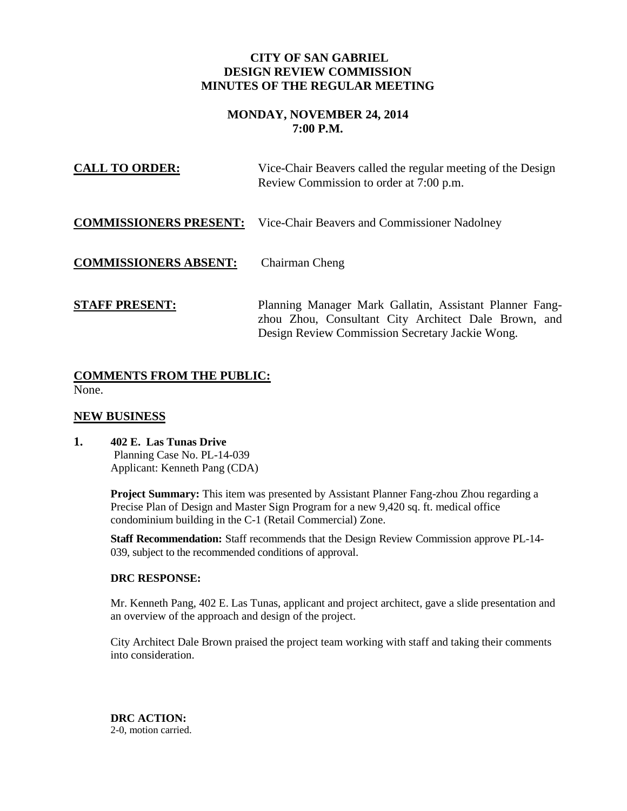## **CITY OF SAN GABRIEL DESIGN REVIEW COMMISSION MINUTES OF THE REGULAR MEETING**

# **MONDAY, NOVEMBER 24, 2014 7:00 P.M.**

| <b>CALL TO ORDER:</b>        | Vice-Chair Beavers called the regular meeting of the Design<br>Review Commission to order at 7:00 p.m.                                                             |
|------------------------------|--------------------------------------------------------------------------------------------------------------------------------------------------------------------|
|                              | <b>COMMISSIONERS PRESENT:</b> Vice-Chair Beavers and Commissioner Nadolney                                                                                         |
| <b>COMMISSIONERS ABSENT:</b> | Chairman Cheng                                                                                                                                                     |
| <b>STAFF PRESENT:</b>        | Planning Manager Mark Gallatin, Assistant Planner Fang-<br>zhou Zhou, Consultant City Architect Dale Brown, and<br>Design Review Commission Secretary Jackie Wong. |

## **COMMENTS FROM THE PUBLIC:** None.

## **NEW BUSINESS**

**1. 402 E. Las Tunas Drive** Planning Case No. PL-14-039 Applicant: Kenneth Pang (CDA)

> **Project Summary:** This item was presented by Assistant Planner Fang-zhou Zhou regarding a Precise Plan of Design and Master Sign Program for a new 9,420 sq. ft. medical office condominium building in the C-1 (Retail Commercial) Zone.

> **Staff Recommendation:** Staff recommends that the Design Review Commission approve PL-14- 039, subject to the recommended conditions of approval.

### **DRC RESPONSE:**

Mr. Kenneth Pang, 402 E. Las Tunas, applicant and project architect, gave a slide presentation and an overview of the approach and design of the project.

City Architect Dale Brown praised the project team working with staff and taking their comments into consideration.

**DRC ACTION:**  2-0, motion carried.